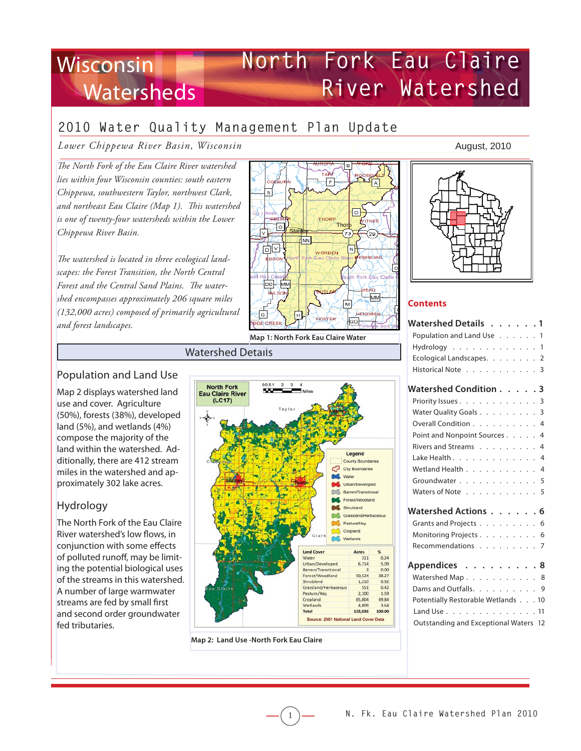# **North Fork Eau Claire River Watershed Wisconsin Watersheds**

# **2010 Water Quality Management Plan Update**

*Lower Chippewa River Basin, Wisconsin*

The North Fork of the Eau Claire River watershed *lies within four Wisconsin counties: south eastern Chippewa, southwestern Taylor, northwest Clark,*  and northeast Eau Claire (Map 1). This watershed *is one of twenty-four watersheds within the Lower Chippewa River Basin.* 

The watershed is located in three ecological land*scapes: the Forest Transition, the North Central*  Forest and the Central Sand Plains. The water*shed encompasses approximately 206 square miles (132,000 acres) composed of primarily agricultural and forest landscapes.* 



#### Watershed Details

## Population and Land Use

Map 2 displays watershed land use and cover. Agriculture (50%), forests (38%), developed land (5%), and wetlands (4%) compose the majority of the land within the watershed. Additionally, there are 412 stream miles in the watershed and approximately 302 lake acres.

## Hydrology

The North Fork of the Eau Claire River watershed's low flows, in conjunction with some effects of polluted runoff, may be limiting the potential biological uses of the streams in this watershed. A number of large warmwater streams are fed by small first and second order groundwater fed tributaries.



1

**Map 2: Land Use -North Fork Eau Claire** 

#### August, 2010



## **Contents**

| Watershed Details 1                   |  |  |  |  |  |  |  |
|---------------------------------------|--|--|--|--|--|--|--|
| Population and Land Use 1             |  |  |  |  |  |  |  |
| $Hydrology$ 1                         |  |  |  |  |  |  |  |
| Ecological Landscapes. 2              |  |  |  |  |  |  |  |
| Historical Note 3                     |  |  |  |  |  |  |  |
| Watershed Condition 3                 |  |  |  |  |  |  |  |
| Priority Issues 3                     |  |  |  |  |  |  |  |
| Water Quality Goals 3                 |  |  |  |  |  |  |  |
| Overall Condition 4                   |  |  |  |  |  |  |  |
| Point and Nonpoint Sources 4          |  |  |  |  |  |  |  |
| Rivers and Streams 4                  |  |  |  |  |  |  |  |
| Lake Health 4                         |  |  |  |  |  |  |  |
| Wetland Health 4                      |  |  |  |  |  |  |  |
| Groundwater 5                         |  |  |  |  |  |  |  |
| Waters of Note 5                      |  |  |  |  |  |  |  |
| Watershed Actions 6                   |  |  |  |  |  |  |  |
| Grants and Projects 6                 |  |  |  |  |  |  |  |
| Monitoring Projects 6                 |  |  |  |  |  |  |  |
| Recommendations 7                     |  |  |  |  |  |  |  |
| Appendices 8                          |  |  |  |  |  |  |  |
| Watershed Map 8                       |  |  |  |  |  |  |  |
| Dams and Outfalls. 9                  |  |  |  |  |  |  |  |
| Potentially Restorable Wetlands 10    |  |  |  |  |  |  |  |
| Land Use 11                           |  |  |  |  |  |  |  |
| Outstanding and Exceptional Waters 12 |  |  |  |  |  |  |  |
|                                       |  |  |  |  |  |  |  |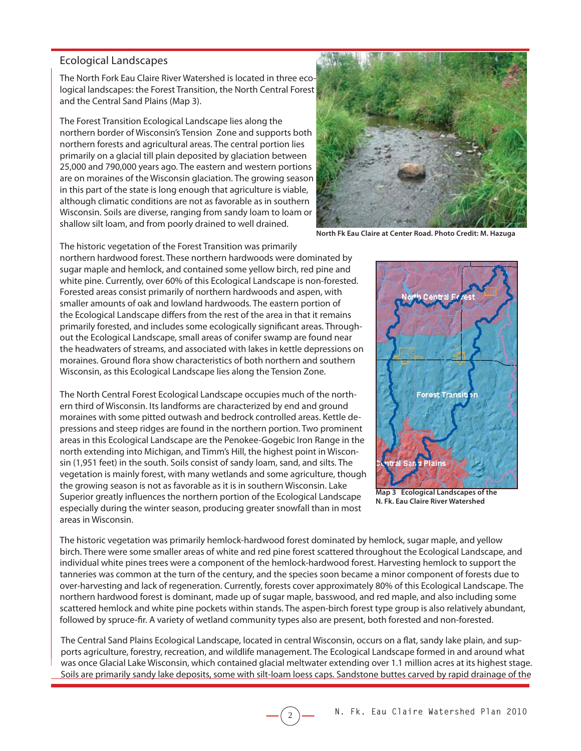#### Ecological Landscapes

The North Fork Eau Claire River Watershed is located in three ecological landscapes: the Forest Transition, the North Central Forest and the Central Sand Plains (Map 3).

The Forest Transition Ecological Landscape lies along the northern border of Wisconsin's Tension Zone and supports both northern forests and agricultural areas. The central portion lies primarily on a glacial till plain deposited by glaciation between 25,000 and 790,000 years ago. The eastern and western portions are on moraines of the Wisconsin glaciation. The growing season in this part of the state is long enough that agriculture is viable, although climatic conditions are not as favorable as in southern Wisconsin. Soils are diverse, ranging from sandy loam to loam or shallow silt loam, and from poorly drained to well drained.



**North Fk Eau Claire at Center Road. Photo Credit: M. Hazuga**

The historic vegetation of the Forest Transition was primarily northern hardwood forest. These northern hardwoods were dominated by sugar maple and hemlock, and contained some yellow birch, red pine and white pine. Currently, over 60% of this Ecological Landscape is non-forested. Forested areas consist primarily of northern hardwoods and aspen, with smaller amounts of oak and lowland hardwoods. The eastern portion of the Ecological Landscape differs from the rest of the area in that it remains primarily forested, and includes some ecologically significant areas. Throughout the Ecological Landscape, small areas of conifer swamp are found near the headwaters of streams, and associated with lakes in kettle depressions on moraines. Ground flora show characteristics of both northern and southern Wisconsin, as this Ecological Landscape lies along the Tension Zone.

The North Central Forest Ecological Landscape occupies much of the northern third of Wisconsin. Its landforms are characterized by end and ground moraines with some pitted outwash and bedrock controlled areas. Kettle depressions and steep ridges are found in the northern portion. Two prominent areas in this Ecological Landscape are the Penokee-Gogebic Iron Range in the north extending into Michigan, and Timm's Hill, the highest point in Wisconsin (1,951 feet) in the south. Soils consist of sandy loam, sand, and silts. The vegetation is mainly forest, with many wetlands and some agriculture, though the growing season is not as favorable as it is in southern Wisconsin. Lake Superior greatly influences the northern portion of the Ecological Landscape especially during the winter season, producing greater snowfall than in most areas in Wisconsin.



**Map 3 Ecological Landscapes of the N. Fk. Eau Claire River Watershed**

The historic vegetation was primarily hemlock-hardwood forest dominated by hemlock, sugar maple, and yellow birch. There were some smaller areas of white and red pine forest scattered throughout the Ecological Landscape, and individual white pines trees were a component of the hemlock-hardwood forest. Harvesting hemlock to support the tanneries was common at the turn of the century, and the species soon became a minor component of forests due to over-harvesting and lack of regeneration. Currently, forests cover approximately 80% of this Ecological Landscape. The northern hardwood forest is dominant, made up of sugar maple, basswood, and red maple, and also including some scattered hemlock and white pine pockets within stands. The aspen-birch forest type group is also relatively abundant, followed by spruce-fir. A variety of wetland community types also are present, both forested and non-forested.

The Central Sand Plains Ecological Landscape, located in central Wisconsin, occurs on a flat, sandy lake plain, and supports agriculture, forestry, recreation, and wildlife management. The Ecological Landscape formed in and around what was once Glacial Lake Wisconsin, which contained glacial meltwater extending over 1.1 million acres at its highest stage. Soils are primarily sandy lake deposits, some with silt-loam loess caps. Sandstone buttes carved by rapid drainage of the

2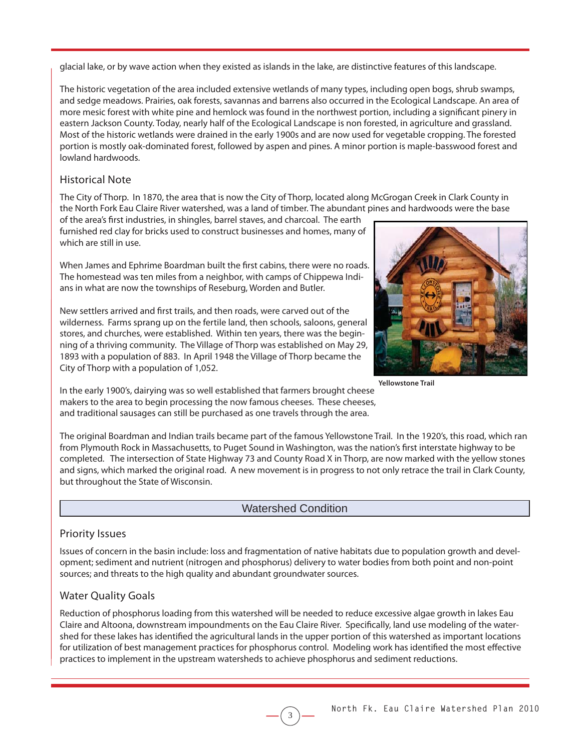glacial lake, or by wave action when they existed as islands in the lake, are distinctive features of this landscape.

The historic vegetation of the area included extensive wetlands of many types, including open bogs, shrub swamps, and sedge meadows. Prairies, oak forests, savannas and barrens also occurred in the Ecological Landscape. An area of more mesic forest with white pine and hemlock was found in the northwest portion, including a significant pinery in eastern Jackson County. Today, nearly half of the Ecological Landscape is non forested, in agriculture and grassland. Most of the historic wetlands were drained in the early 1900s and are now used for vegetable cropping. The forested portion is mostly oak-dominated forest, followed by aspen and pines. A minor portion is maple-basswood forest and lowland hardwoods.

## Historical Note

The City of Thorp. In 1870, the area that is now the City of Thorp, located along McGrogan Creek in Clark County in the North Fork Eau Claire River watershed, was a land of timber. The abundant pines and hardwoods were the base

of the area's first industries, in shingles, barrel staves, and charcoal. The earth furnished red clay for bricks used to construct businesses and homes, many of which are still in use.

When James and Ephrime Boardman built the first cabins, there were no roads. The homestead was ten miles from a neighbor, with camps of Chippewa Indians in what are now the townships of Reseburg, Worden and Butler.

New settlers arrived and first trails, and then roads, were carved out of the wilderness. Farms sprang up on the fertile land, then schools, saloons, general stores, and churches, were established. Within ten years, there was the beginning of a thriving community. The Village of Thorp was established on May 29, 1893 with a population of 883. In April 1948 the Village of Thorp became the City of Thorp with a population of 1,052.



**Yellowstone Trail**

In the early 1900's, dairying was so well established that farmers brought cheese makers to the area to begin processing the now famous cheeses. These cheeses, and traditional sausages can still be purchased as one travels through the area.

The original Boardman and Indian trails became part of the famous Yellowstone Trail. In the 1920's, this road, which ran from Plymouth Rock in Massachusetts, to Puget Sound in Washington, was the nation's first interstate highway to be completed. The intersection of State Highway 73 and County Road X in Thorp, are now marked with the yellow stones and signs, which marked the original road. A new movement is in progress to not only retrace the trail in Clark County, but throughout the State of Wisconsin.

## Watershed Condition

## Priority Issues

Issues of concern in the basin include: loss and fragmentation of native habitats due to population growth and development; sediment and nutrient (nitrogen and phosphorus) delivery to water bodies from both point and non-point sources; and threats to the high quality and abundant groundwater sources.

## Water Quality Goals

Reduction of phosphorus loading from this watershed will be needed to reduce excessive algae growth in lakes Eau Claire and Altoona, downstream impoundments on the Eau Claire River. Specifically, land use modeling of the watershed for these lakes has identified the agricultural lands in the upper portion of this watershed as important locations for utilization of best management practices for phosphorus control. Modeling work has identified the most effective practices to implement in the upstream watersheds to achieve phosphorus and sediment reductions.

3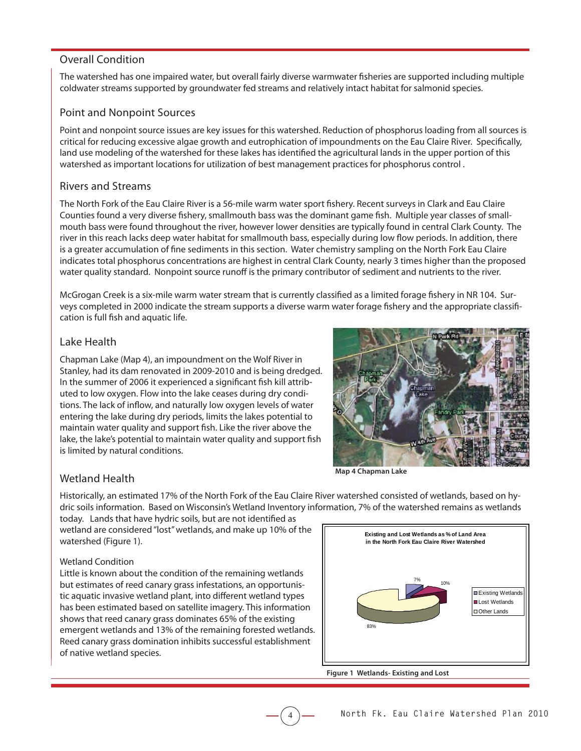## Overall Condition

The watershed has one impaired water, but overall fairly diverse warmwater fisheries are supported including multiple coldwater streams supported by groundwater fed streams and relatively intact habitat for salmonid species.

#### Point and Nonpoint Sources

Point and nonpoint source issues are key issues for this watershed. Reduction of phosphorus loading from all sources is critical for reducing excessive algae growth and eutrophication of impoundments on the Eau Claire River. Specifically, land use modeling of the watershed for these lakes has identified the agricultural lands in the upper portion of this watershed as important locations for utilization of best management practices for phosphorus control .

#### Rivers and Streams

The North Fork of the Eau Claire River is a 56-mile warm water sport fishery. Recent surveys in Clark and Eau Claire Counties found a very diverse fishery, smallmouth bass was the dominant game fish. Multiple year classes of smallmouth bass were found throughout the river, however lower densities are typically found in central Clark County. The river in this reach lacks deep water habitat for smallmouth bass, especially during low flow periods. In addition, there is a greater accumulation of fine sediments in this section. Water chemistry sampling on the North Fork Eau Claire indicates total phosphorus concentrations are highest in central Clark County, nearly 3 times higher than the proposed water quality standard. Nonpoint source runoff is the primary contributor of sediment and nutrients to the river.

McGrogan Creek is a six-mile warm water stream that is currently classified as a limited forage fishery in NR 104. Surveys completed in 2000 indicate the stream supports a diverse warm water forage fishery and the appropriate classification is full fish and aquatic life.

## Lake Health

Chapman Lake (Map 4), an impoundment on the Wolf River in Stanley, had its dam renovated in 2009-2010 and is being dredged. In the summer of 2006 it experienced a significant fish kill attributed to low oxygen. Flow into the lake ceases during dry conditions. The lack of inflow, and naturally low oxygen levels of water entering the lake during dry periods, limits the lakes potential to maintain water quality and support fish. Like the river above the lake, the lake's potential to maintain water quality and support fish is limited by natural conditions.



## Wetland Health

Historically, an estimated 17% of the North Fork of the Eau Claire River watershed consisted of wetlands, based on hydric soils information. Based on Wisconsin's Wetland Inventory information, 7% of the watershed remains as wetlands

4

today. Lands that have hydric soils, but are not identified as wetland are considered "lost" wetlands, and make up 10% of the watershed (Figure 1).

#### Wetland Condition

Little is known about the condition of the remaining wetlands but estimates of reed canary grass infestations, an opportunistic aquatic invasive wetland plant, into different wetland types has been estimated based on satellite imagery. This information shows that reed canary grass dominates 65% of the existing emergent wetlands and 13% of the remaining forested wetlands. Reed canary grass domination inhibits successful establishment of native wetland species.



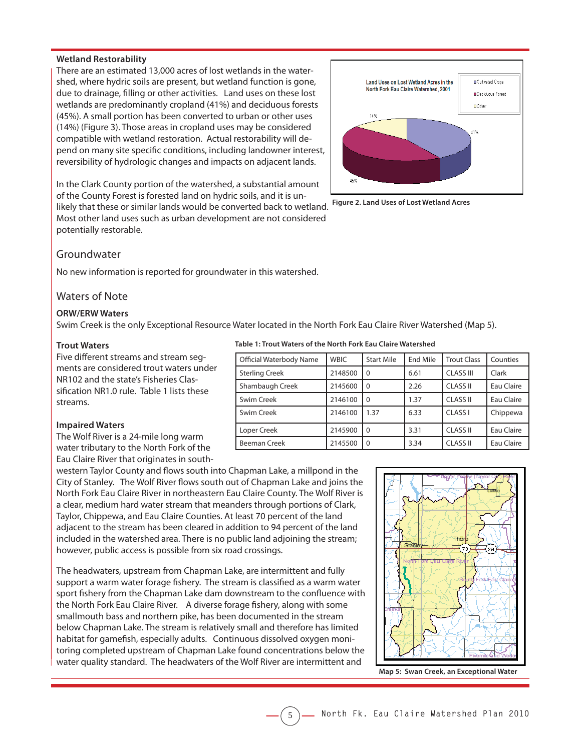#### **Wetland Restorability**

There are an estimated 13,000 acres of lost wetlands in the watershed, where hydric soils are present, but wetland function is gone, due to drainage, filling or other activities. Land uses on these lost wetlands are predominantly cropland (41%) and deciduous forests (45%). A small portion has been converted to urban or other uses (14%) (Figure 3). Those areas in cropland uses may be considered compatible with wetland restoration. Actual restorability will depend on many site specific conditions, including landowner interest, reversibility of hydrologic changes and impacts on adjacent lands.

In the Clark County portion of the watershed, a substantial amount of the County Forest is forested land on hydric soils, and it is un-

likely that these or similar lands would be converted back to wetland. Most other land uses such as urban development are not considered potentially restorable.



**Figure 2. Land Uses of Lost Wetland Acres**

#### Groundwater

No new information is reported for groundwater in this watershed.

#### Waters of Note

#### **ORW/ERW Waters**

Swim Creek is the only Exceptional Resource Water located in the North Fork Eau Claire River Watershed (Map 5).

5

#### **Trout Waters**

Five different streams and stream segments are considered trout waters under NR102 and the state's Fisheries Classification NR1.0 rule. Table 1 lists these streams.

#### **Impaired Waters**

The Wolf River is a 24-mile long warm water tributary to the North Fork of the Eau Claire River that originates in south-

western Taylor County and flows south into Chapman Lake, a millpond in the City of Stanley. The Wolf River flows south out of Chapman Lake and joins the North Fork Eau Claire River in northeastern Eau Claire County. The Wolf River is a clear, medium hard water stream that meanders through portions of Clark, Taylor, Chippewa, and Eau Claire Counties. At least 70 percent of the land adjacent to the stream has been cleared in addition to 94 percent of the land included in the watershed area. There is no public land adjoining the stream; however, public access is possible from six road crossings.

The headwaters, upstream from Chapman Lake, are intermittent and fully support a warm water forage fishery. The stream is classified as a warm water sport fishery from the Chapman Lake dam downstream to the confluence with the North Fork Eau Claire River. A diverse forage fishery, along with some smallmouth bass and northern pike, has been documented in the stream below Chapman Lake. The stream is relatively small and therefore has limited habitat for gamefish, especially adults. Continuous dissolved oxygen monitoring completed upstream of Chapman Lake found concentrations below the water quality standard. The headwaters of the Wolf River are intermittent and

#### **Table 1: Trout Waters of the North Fork Eau Claire Watershed**

| Official Waterbody Name | <b>WBIC</b> | <b>Start Mile</b> | End Mile | <b>Trout Class</b> | Counties   |
|-------------------------|-------------|-------------------|----------|--------------------|------------|
| <b>Sterling Creek</b>   | 2148500     | $\Omega$          | 6.61     | <b>CLASS III</b>   | Clark      |
| Shambaugh Creek         | 2145600     | $\Omega$          | 2.26     | <b>CLASS II</b>    | Eau Claire |
| Swim Creek              | 2146100     | $\Omega$          | 1.37     | <b>CLASS II</b>    | Eau Claire |
| Swim Creek              | 2146100     | 1.37              | 6.33     | CLASS <sub>I</sub> | Chippewa   |
| Loper Creek             | 2145900     | $\Omega$          | 3.31     | <b>CLASS II</b>    | Eau Claire |
| Beeman Creek            | 2145500     | $\Omega$          | 3.34     | <b>CLASS II</b>    | Eau Claire |



**Map 5: Swan Creek, an Exceptional Water**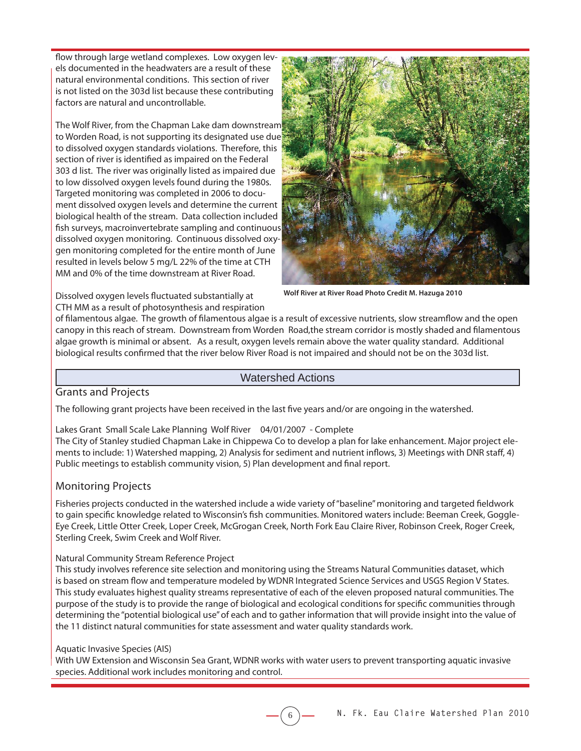flow through large wetland complexes. Low oxygen levels documented in the headwaters are a result of these natural environmental conditions. This section of river is not listed on the 303d list because these contributing factors are natural and uncontrollable.

The Wolf River, from the Chapman Lake dam downstream to Worden Road, is not supporting its designated use due to dissolved oxygen standards violations. Therefore, this section of river is identified as impaired on the Federal 303 d list. The river was originally listed as impaired due to low dissolved oxygen levels found during the 1980s. Targeted monitoring was completed in 2006 to document dissolved oxygen levels and determine the current biological health of the stream. Data collection included fish surveys, macroinvertebrate sampling and continuous dissolved oxygen monitoring. Continuous dissolved oxygen monitoring completed for the entire month of June resulted in levels below 5 mg/L 22% of the time at CTH MM and 0% of the time downstream at River Road.



**Wolf River at River Road Photo Credit M. Hazuga 2010**

Dissolved oxygen levels fluctuated substantially at CTH MM as a result of photosynthesis and respiration

of filamentous algae. The growth of filamentous algae is a result of excessive nutrients, slow streamflow and the open canopy in this reach of stream. Downstream from Worden Road, the stream corridor is mostly shaded and filamentous algae growth is minimal or absent. As a result, oxygen levels remain above the water quality standard. Additional biological results confirmed that the river below River Road is not impaired and should not be on the 303d list.

#### Watershed Actions

#### Grants and Projects

The following grant projects have been received in the last five years and/or are ongoing in the watershed.

Lakes Grant Small Scale Lake Planning Wolf River 04/01/2007 - Complete

The City of Stanley studied Chapman Lake in Chippewa Co to develop a plan for lake enhancement. Major project elements to include: 1) Watershed mapping, 2) Analysis for sediment and nutrient inflows, 3) Meetings with DNR staff, 4) Public meetings to establish community vision, 5) Plan development and final report.

#### Monitoring Projects

Fisheries projects conducted in the watershed include a wide variety of "baseline" monitoring and targeted fieldwork to gain specific knowledge related to Wisconsin's fish communities. Monitored waters include: Beeman Creek, Goggle-Eye Creek, Little Otter Creek, Loper Creek, McGrogan Creek, North Fork Eau Claire River, Robinson Creek, Roger Creek, Sterling Creek, Swim Creek and Wolf River.

#### Natural Community Stream Reference Project

This study involves reference site selection and monitoring using the Streams Natural Communities dataset, which is based on stream flow and temperature modeled by WDNR Integrated Science Services and USGS Region V States. This study evaluates highest quality streams representative of each of the eleven proposed natural communities. The purpose of the study is to provide the range of biological and ecological conditions for specific communities through determining the "potential biological use" of each and to gather information that will provide insight into the value of the 11 distinct natural communities for state assessment and water quality standards work.

#### Aquatic Invasive Species (AIS)

With UW Extension and Wisconsin Sea Grant, WDNR works with water users to prevent transporting aquatic invasive species. Additional work includes monitoring and control.